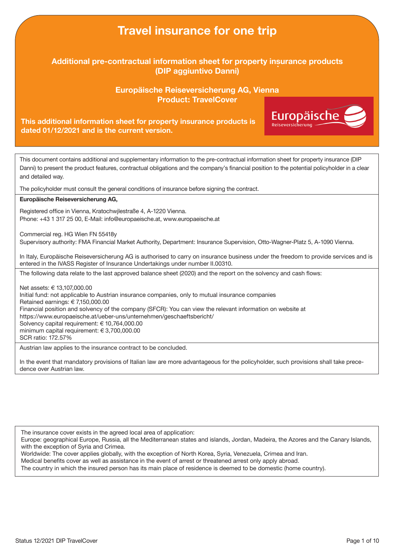## Travel insurance for one trip Additional pre-contractual information sheet for property insurance products (DIP aggiuntivo Danni) Europäische Reiseversicherung AG, Vienna Product: TravelCoverEuropäische This additional information sheet for property insurance products is dated 01/12/2021 and is the current version. This document contains additional and supplementary information to the pre-contractual information sheet for property insurance (DIP Danni) to present the product features, contractual obligations and the company's financial position to the potential policyholder in a clear and detailed way. The policyholder must consult the general conditions of insurance before signing the contract. Europäische Reiseversicherung AG, Registered office in Vienna, Kratochwjlestraße 4, A-1220 Vienna. Phone: +43 1 317 25 00, E-Mail: info@europaeische.at, www.europaeische.at Commercial reg. HG Wien FN 55418y Supervisory authority: FMA Financial Market Authority, Department: Insurance Supervision, Otto-Wagner-Platz 5, A-1090 Vienna. In Italy, Europäische Reiseversicherung AG is authorised to carry on insurance business under the freedom to provide services and is entered in the IVASS Register of Insurance Undertakings under number II.00310. The following data relate to the last approved balance sheet (2020) and the report on the solvency and cash flows: Net assets: € 13,107,000.00 Initial fund: not applicable to Austrian insurance companies, only to mutual insurance companies Retained earnings: € 7,150,000.00 Financial position and solvency of the company (SFCR): You can view the relevant information on website at https://www.europaeische.at/ueber-uns/unternehmen/geschaeftsbericht/ Solvency capital requirement: € 10,764,000.00 minimum capital requirement: € 3,700,000.00

SCR ratio: 172.57%

Austrian law applies to the insurance contract to be concluded.

In the event that mandatory provisions of Italian law are more advantageous for the policyholder, such provisions shall take precedence over Austrian law.

The insurance cover exists in the agreed local area of application:

Europe: geographical Europe, Russia, all the Mediterranean states and islands, Jordan, Madeira, the Azores and the Canary Islands, with the exception of Syria and Crimea.

Worldwide: The cover applies globally, with the exception of North Korea, Syria, Venezuela, Crimea and Iran.

Medical benefits cover as well as assistance in the event of arrest or threatened arrest only apply abroad.

The country in which the insured person has its main place of residence is deemed to be domestic (home country).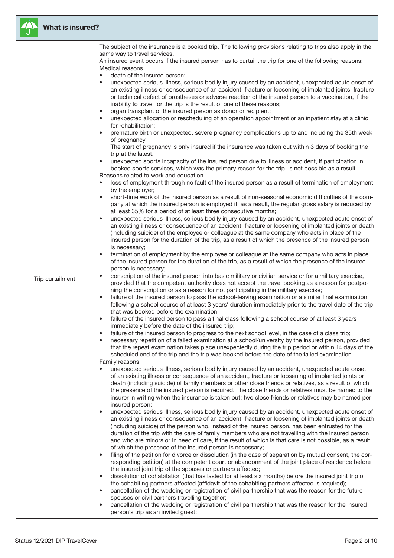

### What is insured?

|                  | The subject of the insurance is a booked trip. The following provisions relating to trips also apply in the                                                                                                                                                                                                                                                                                                                                                                                                                  |
|------------------|------------------------------------------------------------------------------------------------------------------------------------------------------------------------------------------------------------------------------------------------------------------------------------------------------------------------------------------------------------------------------------------------------------------------------------------------------------------------------------------------------------------------------|
|                  | same way to travel services.                                                                                                                                                                                                                                                                                                                                                                                                                                                                                                 |
|                  | An insured event occurs if the insured person has to curtail the trip for one of the following reasons:                                                                                                                                                                                                                                                                                                                                                                                                                      |
|                  | Medical reasons<br>death of the insured person;                                                                                                                                                                                                                                                                                                                                                                                                                                                                              |
|                  | unexpected serious illness, serious bodily injury caused by an accident, unexpected acute onset of<br>an existing illness or consequence of an accident, fracture or loosening of implanted joints, fracture<br>or technical defect of prostheses or adverse reaction of the insured person to a vaccination, if the<br>inability to travel for the trip is the result of one of these reasons;<br>organ transplant of the insured person as donor or recipient;                                                             |
|                  | unexpected allocation or rescheduling of an operation appointment or an inpatient stay at a clinic<br>$\bullet$                                                                                                                                                                                                                                                                                                                                                                                                              |
|                  | for rehabilitation;<br>premature birth or unexpected, severe pregnancy complications up to and including the 35th week                                                                                                                                                                                                                                                                                                                                                                                                       |
|                  | of pregnancy.<br>The start of pregnancy is only insured if the insurance was taken out within 3 days of booking the                                                                                                                                                                                                                                                                                                                                                                                                          |
|                  | trip at the latest.<br>unexpected sports incapacity of the insured person due to illness or accident, if participation in<br>$\bullet$                                                                                                                                                                                                                                                                                                                                                                                       |
|                  | booked sports services, which was the primary reason for the trip, is not possible as a result.<br>Reasons related to work and education                                                                                                                                                                                                                                                                                                                                                                                     |
|                  | loss of employment through no fault of the insured person as a result of termination of employment<br>by the employer;                                                                                                                                                                                                                                                                                                                                                                                                       |
|                  | short-time work of the insured person as a result of non-seasonal economic difficulties of the com-<br>pany at which the insured person is employed if, as a result, the regular gross salary is reduced by<br>at least 35% for a period of at least three consecutive months;                                                                                                                                                                                                                                               |
|                  | unexpected serious illness, serious bodily injury caused by an accident, unexpected acute onset of<br>an existing illness or consequence of an accident, fracture or loosening of implanted joints or death<br>(including suicide) of the employee or colleague at the same company who acts in place of the<br>insured person for the duration of the trip, as a result of which the presence of the insured person                                                                                                         |
|                  | is necessary;<br>termination of employment by the employee or colleague at the same company who acts in place<br>of the insured person for the duration of the trip, as a result of which the presence of the insured                                                                                                                                                                                                                                                                                                        |
| Trip curtailment | person is necessary;<br>conscription of the insured person into basic military or civilian service or for a military exercise,<br>provided that the competent authority does not accept the travel booking as a reason for postpo-                                                                                                                                                                                                                                                                                           |
|                  | ning the conscription or as a reason for not participating in the military exercise;<br>failure of the insured person to pass the school-leaving examination or a similar final examination<br>$\bullet$<br>following a school course of at least 3 years' duration immediately prior to the travel date of the trip                                                                                                                                                                                                         |
|                  | that was booked before the examination;<br>failure of the insured person to pass a final class following a school course of at least 3 years<br>$\bullet$                                                                                                                                                                                                                                                                                                                                                                    |
|                  | immediately before the date of the insured trip;                                                                                                                                                                                                                                                                                                                                                                                                                                                                             |
|                  | failure of the insured person to progress to the next school level, in the case of a class trip;<br>$\bullet$                                                                                                                                                                                                                                                                                                                                                                                                                |
|                  | necessary repetition of a failed examination at a school/university by the insured person, provided<br>that the repeat examination takes place unexpectedly during the trip period or within 14 days of the<br>scheduled end of the trip and the trip was booked before the date of the failed examination.                                                                                                                                                                                                                  |
|                  | Family reasons                                                                                                                                                                                                                                                                                                                                                                                                                                                                                                               |
|                  | unexpected serious illness, serious bodily injury caused by an accident, unexpected acute onset<br>of an existing illness or consequence of an accident, fracture or loosening of implanted joints or<br>death (including suicide) of family members or other close friends or relatives, as a result of which<br>the presence of the insured person is required. The close friends or relatives must be named to the<br>insurer in writing when the insurance is taken out; two close friends or relatives may be named per |
|                  | insured person;                                                                                                                                                                                                                                                                                                                                                                                                                                                                                                              |
|                  | unexpected serious illness, serious bodily injury caused by an accident, unexpected acute onset of<br>$\bullet$<br>an existing illness or consequence of an accident, fracture or loosening of implanted joints or death<br>(including suicide) of the person who, instead of the insured person, has been entrusted for the                                                                                                                                                                                                 |
|                  | duration of the trip with the care of family members who are not travelling with the insured person<br>and who are minors or in need of care, if the result of which is that care is not possible, as a result<br>of which the presence of the insured person is necessary;                                                                                                                                                                                                                                                  |
|                  | filing of the petition for divorce or dissolution (in the case of separation by mutual consent, the cor-<br>$\bullet$<br>responding petition) at the competent court or abandonment of the joint place of residence before                                                                                                                                                                                                                                                                                                   |
|                  | the insured joint trip of the spouses or partners affected;                                                                                                                                                                                                                                                                                                                                                                                                                                                                  |
|                  | dissolution of cohabitation (that has lasted for at least six months) before the insured joint trip of<br>$\bullet$                                                                                                                                                                                                                                                                                                                                                                                                          |
|                  | the cohabiting partners affected (affidavit of the cohabiting partners affected is required);<br>cancellation of the wedding or registration of civil partnership that was the reason for the future<br>$\bullet$                                                                                                                                                                                                                                                                                                            |
|                  | spouses or civil partners travelling together;<br>cancellation of the wedding or registration of civil partnership that was the reason for the insured<br>$\bullet$                                                                                                                                                                                                                                                                                                                                                          |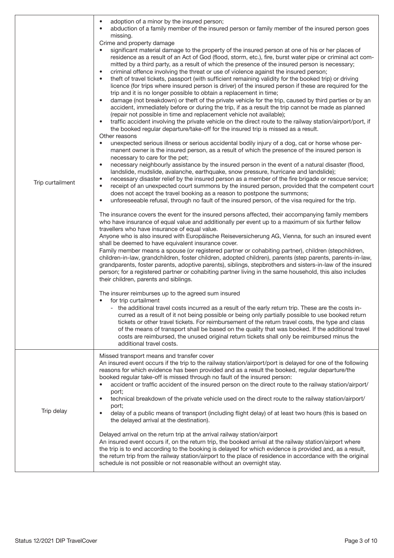| Trip curtailment | adoption of a minor by the insured person;<br>٠<br>abduction of a family member of the insured person or family member of the insured person goes<br>$\bullet$<br>missing.<br>Crime and property damage<br>significant material damage to the property of the insured person at one of his or her places of<br>residence as a result of an Act of God (flood, storm, etc.), fire, burst water pipe or criminal act com-<br>mitted by a third party, as a result of which the presence of the insured person is necessary;<br>criminal offence involving the threat or use of violence against the insured person;<br>٠<br>theft of travel tickets, passport (with sufficient remaining validity for the booked trip) or driving<br>$\bullet$<br>licence (for trips where insured person is driver) of the insured person if these are required for the<br>trip and it is no longer possible to obtain a replacement in time;<br>damage (not breakdown) or theft of the private vehicle for the trip, caused by third parties or by an<br>$\bullet$<br>accident, immediately before or during the trip, if as a result the trip cannot be made as planned<br>(repair not possible in time and replacement vehicle not available);<br>traffic accident involving the private vehicle on the direct route to the railway station/airport/port, if<br>$\bullet$<br>the booked regular departure/take-off for the insured trip is missed as a result.<br>Other reasons<br>unexpected serious illness or serious accidental bodily injury of a dog, cat or horse whose per-<br>٠<br>manent owner is the insured person, as a result of which the presence of the insured person is<br>necessary to care for the pet;<br>necessary neighbourly assistance by the insured person in the event of a natural disaster (flood,<br>٠<br>landslide, mudslide, avalanche, earthquake, snow pressure, hurricane and landslide);<br>necessary disaster relief by the insured person as a member of the fire brigade or rescue service;<br>٠<br>receipt of an unexpected court summons by the insured person, provided that the competent court<br>$\bullet$<br>does not accept the travel booking as a reason to postpone the summons;<br>unforeseeable refusal, through no fault of the insured person, of the visa required for the trip.<br>٠<br>The insurance covers the event for the insured persons affected, their accompanying family members<br>who have insurance of equal value and additionally per event up to a maximum of six further fellow<br>travellers who have insurance of equal value.<br>Anyone who is also insured with Europäische Reiseversicherung AG, Vienna, for such an insured event<br>shall be deemed to have equivalent insurance cover.<br>Family member means a spouse (or registered partner or cohabiting partner), children (stepchildren,<br>children-in-law, grandchildren, foster children, adopted children), parents (step parents, parents-in-law,<br>grandparents, foster parents, adoptive parents), siblings, stepbrothers and sisters-in-law of the insured<br>person; for a registered partner or cohabiting partner living in the same household, this also includes<br>their children, parents and siblings.<br>The insurer reimburses up to the agreed sum insured<br>for trip curtailment<br>- the additional travel costs incurred as a result of the early return trip. These are the costs in-<br>curred as a result of it not being possible or being only partially possible to use booked return<br>tickets or other travel tickets. For reimbursement of the return travel costs, the type and class<br>of the means of transport shall be based on the quality that was booked. If the additional travel<br>costs are reimbursed, the unused original return tickets shall only be reimbursed minus the<br>additional travel costs. |
|------------------|------------------------------------------------------------------------------------------------------------------------------------------------------------------------------------------------------------------------------------------------------------------------------------------------------------------------------------------------------------------------------------------------------------------------------------------------------------------------------------------------------------------------------------------------------------------------------------------------------------------------------------------------------------------------------------------------------------------------------------------------------------------------------------------------------------------------------------------------------------------------------------------------------------------------------------------------------------------------------------------------------------------------------------------------------------------------------------------------------------------------------------------------------------------------------------------------------------------------------------------------------------------------------------------------------------------------------------------------------------------------------------------------------------------------------------------------------------------------------------------------------------------------------------------------------------------------------------------------------------------------------------------------------------------------------------------------------------------------------------------------------------------------------------------------------------------------------------------------------------------------------------------------------------------------------------------------------------------------------------------------------------------------------------------------------------------------------------------------------------------------------------------------------------------------------------------------------------------------------------------------------------------------------------------------------------------------------------------------------------------------------------------------------------------------------------------------------------------------------------------------------------------------------------------------------------------------------------------------------------------------------------------------------------------------------------------------------------------------------------------------------------------------------------------------------------------------------------------------------------------------------------------------------------------------------------------------------------------------------------------------------------------------------------------------------------------------------------------------------------------------------------------------------------------------------------------------------------------------------------------------------------------------------------------------------------------------------------------------------------------------------------------------------------------------------------------------------------------------------------------------------------------------------------------------------------------------------------------------------------------------------------------------------------------------------------------------------------------------------------------------------------------------------------------------------------------------------------------------------------------------------------|
| Trip delay       | Missed transport means and transfer cover<br>An insured event occurs if the trip to the railway station/airport/port is delayed for one of the following<br>reasons for which evidence has been provided and as a result the booked, regular departure/the<br>booked regular take-off is missed through no fault of the insured person:<br>accident or traffic accident of the insured person on the direct route to the railway station/airport/<br>٠<br>port;<br>technical breakdown of the private vehicle used on the direct route to the railway station/airport/<br>$\bullet$<br>port;<br>delay of a public means of transport (including flight delay) of at least two hours (this is based on<br>$\bullet$<br>the delayed arrival at the destination).<br>Delayed arrival on the return trip at the arrival railway station/airport<br>An insured event occurs if, on the return trip, the booked arrival at the railway station/airport where<br>the trip is to end according to the booking is delayed for which evidence is provided and, as a result,<br>the return trip from the railway station/airport to the place of residence in accordance with the original<br>schedule is not possible or not reasonable without an overnight stay.                                                                                                                                                                                                                                                                                                                                                                                                                                                                                                                                                                                                                                                                                                                                                                                                                                                                                                                                                                                                                                                                                                                                                                                                                                                                                                                                                                                                                                                                                                                                                                                                                                                                                                                                                                                                                                                                                                                                                                                                                                                                                                                                                                                                                                                                                                                                                                                                                                                                                                                                                                                                                           |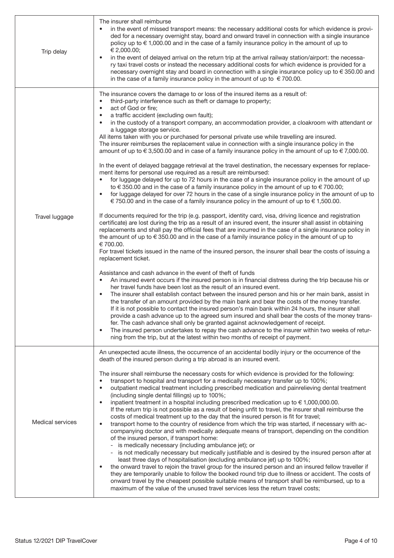| Trip delay              | The insurer shall reimburse<br>in the event of missed transport means: the necessary additional costs for which evidence is provi-<br>ded for a necessary overnight stay, board and onward travel in connection with a single insurance<br>policy up to $\in$ 1,000.00 and in the case of a family insurance policy in the amount of up to<br>€ 2,000.00;<br>in the event of delayed arrival on the return trip at the arrival railway station/airport: the necessa-<br>ry taxi travel costs or instead the necessary additional costs for which evidence is provided for a<br>necessary overnight stay and board in connection with a single insurance policy up to €350.00 and<br>in the case of a family insurance policy in the amount of up to $\epsilon$ 700.00.                                                                                                                                                                                                                                                                                                                                                                                                                                                                                                                                                                                                                                                                                                                                                                                                                                                                                                                                                                                                                                                                                                                                                                                                                                                                                                                                                                                                                                                                                                                                                                                                                                                                                                                                                                                                                                                                                                                                                                                                                                                                                                              |
|-------------------------|-------------------------------------------------------------------------------------------------------------------------------------------------------------------------------------------------------------------------------------------------------------------------------------------------------------------------------------------------------------------------------------------------------------------------------------------------------------------------------------------------------------------------------------------------------------------------------------------------------------------------------------------------------------------------------------------------------------------------------------------------------------------------------------------------------------------------------------------------------------------------------------------------------------------------------------------------------------------------------------------------------------------------------------------------------------------------------------------------------------------------------------------------------------------------------------------------------------------------------------------------------------------------------------------------------------------------------------------------------------------------------------------------------------------------------------------------------------------------------------------------------------------------------------------------------------------------------------------------------------------------------------------------------------------------------------------------------------------------------------------------------------------------------------------------------------------------------------------------------------------------------------------------------------------------------------------------------------------------------------------------------------------------------------------------------------------------------------------------------------------------------------------------------------------------------------------------------------------------------------------------------------------------------------------------------------------------------------------------------------------------------------------------------------------------------------------------------------------------------------------------------------------------------------------------------------------------------------------------------------------------------------------------------------------------------------------------------------------------------------------------------------------------------------------------------------------------------------------------------------------------------------|
| Travel luggage          | The insurance covers the damage to or loss of the insured items as a result of:<br>third-party interference such as theft or damage to property;<br>$\bullet$<br>act of God or fire;<br>$\bullet$<br>a traffic accident (excluding own fault);<br>in the custody of a transport company, an accommodation provider, a cloakroom with attendant or<br>$\bullet$<br>a luggage storage service.<br>All items taken with you or purchased for personal private use while travelling are insured.<br>The insurer reimburses the replacement value in connection with a single insurance policy in the<br>amount of up to $\in$ 3,500.00 and in case of a family insurance policy in the amount of up to $\in$ 7,000.00.<br>In the event of delayed baggage retrieval at the travel destination, the necessary expenses for replace-<br>ment items for personal use required as a result are reimbursed:<br>for luggage delayed for up to 72 hours in the case of a single insurance policy in the amount of up<br>to $\in$ 350.00 and in the case of a family insurance policy in the amount of up to $\in$ 700.00;<br>for luggage delayed for over 72 hours in the case of a single insurance policy in the amount of up to<br>€ 750.00 and in the case of a family insurance policy in the amount of up to $∈ 1,500.00$ .<br>If documents required for the trip (e.g. passport, identity card, visa, driving licence and registration<br>certificate) are lost during the trip as a result of an insured event, the insurer shall assist in obtaining<br>replacements and shall pay the official fees that are incurred in the case of a single insurance policy in<br>the amount of up to $\in$ 350.00 and in the case of a family insurance policy in the amount of up to<br>€700.00.<br>For travel tickets issued in the name of the insured person, the insurer shall bear the costs of issuing a<br>replacement ticket.<br>Assistance and cash advance in the event of theft of funds<br>An insured event occurs if the insured person is in financial distress during the trip because his or<br>$\bullet$<br>her travel funds have been lost as the result of an insured event.<br>The insurer shall establish contact between the insured person and his or her main bank, assist in<br>the transfer of an amount provided by the main bank and bear the costs of the money transfer.<br>If it is not possible to contact the insured person's main bank within 24 hours, the insurer shall<br>provide a cash advance up to the agreed sum insured and shall bear the costs of the money trans-<br>fer. The cash advance shall only be granted against acknowledgement of receipt.<br>The insured person undertakes to repay the cash advance to the insurer within two weeks of retur-<br>٠<br>ning from the trip, but at the latest within two months of receipt of payment. |
| <b>Medical services</b> | An unexpected acute illness, the occurrence of an accidental bodily injury or the occurrence of the<br>death of the insured person during a trip abroad is an insured event.<br>The insurer shall reimburse the necessary costs for which evidence is provided for the following:<br>transport to hospital and transport for a medically necessary transfer up to 100%;<br>$\bullet$<br>outpatient medical treatment including prescribed medication and painrelieving dental treatment<br>$\bullet$<br>(including single dental fillings) up to 100%;<br>inpatient treatment in a hospital including prescribed medication up to $\in$ 1,000,000.00.<br>$\bullet$<br>If the return trip is not possible as a result of being unfit to travel, the insurer shall reimburse the<br>costs of medical treatment up to the day that the insured person is fit for travel;<br>transport home to the country of residence from which the trip was started, if necessary with ac-<br>$\bullet$<br>companying doctor and with medically adequate means of transport, depending on the condition<br>of the insured person, if transport home:<br>is medically necessary (including ambulance jet); or<br>- is not medically necessary but medically justifiable and is desired by the insured person after at<br>least three days of hospitalisation (excluding ambulance jet) up to 100%;<br>the onward travel to rejoin the travel group for the insured person and an insured fellow traveller if<br>they are temporarily unable to follow the booked round trip due to illness or accident. The costs of<br>onward travel by the cheapest possible suitable means of transport shall be reimbursed, up to a<br>maximum of the value of the unused travel services less the return travel costs;                                                                                                                                                                                                                                                                                                                                                                                                                                                                                                                                                                                                                                                                                                                                                                                                                                                                                                                                                                                                                                                                                          |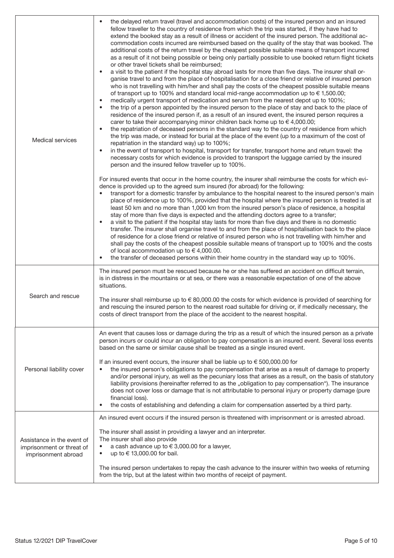| <b>Medical services</b>                                                        | the delayed return travel (travel and accommodation costs) of the insured person and an insured<br>$\bullet$<br>fellow traveller to the country of residence from which the trip was started, if they have had to<br>extend the booked stay as a result of illness or accident of the insured person. The additional ac-<br>commodation costs incurred are reimbursed based on the quality of the stay that was booked. The<br>additional costs of the return travel by the cheapest possible suitable means of transport incurred<br>as a result of it not being possible or being only partially possible to use booked return flight tickets<br>or other travel tickets shall be reimbursed:<br>a visit to the patient if the hospital stay abroad lasts for more than five days. The insurer shall or-<br>$\bullet$<br>ganise travel to and from the place of hospitalisation for a close friend or relative of insured person<br>who is not travelling with him/her and shall pay the costs of the cheapest possible suitable means<br>of transport up to 100% and standard local mid-range accommodation up to €1,500.00;<br>medically urgent transport of medication and serum from the nearest depot up to 100%;<br>$\bullet$<br>the trip of a person appointed by the insured person to the place of stay and back to the place of<br>$\bullet$<br>residence of the insured person if, as a result of an insured event, the insured person requires a<br>carer to take their accompanying minor children back home up to $\in$ 4,000.00;<br>the repatriation of deceased persons in the standard way to the country of residence from which<br>$\bullet$<br>the trip was made, or instead for burial at the place of the event (up to a maximum of the cost of<br>repatriation in the standard way) up to 100%;<br>in the event of transport to hospital, transport for transfer, transport home and return travel: the<br>$\bullet$<br>necessary costs for which evidence is provided to transport the luggage carried by the insured<br>person and the insured fellow traveller up to 100%.<br>For insured events that occur in the home country, the insurer shall reimburse the costs for which evi-<br>dence is provided up to the agreed sum insured (for abroad) for the following:<br>transport for a domestic transfer by ambulance to the hospital nearest to the insured person's main<br>place of residence up to 100%, provided that the hospital where the insured person is treated is at<br>least 50 km and no more than 1,000 km from the insured person's place of residence, a hospital<br>stay of more than five days is expected and the attending doctors agree to a transfer;<br>a visit to the patient if the hospital stay lasts for more than five days and there is no domestic<br>transfer. The insurer shall organise travel to and from the place of hospitalisation back to the place<br>of residence for a close friend or relative of insured person who is not travelling with him/her and<br>shall pay the costs of the cheapest possible suitable means of transport up to 100% and the costs<br>of local accommodation up to $\in$ 4,000.00. |
|--------------------------------------------------------------------------------|--------------------------------------------------------------------------------------------------------------------------------------------------------------------------------------------------------------------------------------------------------------------------------------------------------------------------------------------------------------------------------------------------------------------------------------------------------------------------------------------------------------------------------------------------------------------------------------------------------------------------------------------------------------------------------------------------------------------------------------------------------------------------------------------------------------------------------------------------------------------------------------------------------------------------------------------------------------------------------------------------------------------------------------------------------------------------------------------------------------------------------------------------------------------------------------------------------------------------------------------------------------------------------------------------------------------------------------------------------------------------------------------------------------------------------------------------------------------------------------------------------------------------------------------------------------------------------------------------------------------------------------------------------------------------------------------------------------------------------------------------------------------------------------------------------------------------------------------------------------------------------------------------------------------------------------------------------------------------------------------------------------------------------------------------------------------------------------------------------------------------------------------------------------------------------------------------------------------------------------------------------------------------------------------------------------------------------------------------------------------------------------------------------------------------------------------------------------------------------------------------------------------------------------------------------------------------------------------------------------------------------------------------------------------------------------------------------------------------------------------------------------------------------------------------------------------------------------------------------------------------------------------------------------------------------------------------------------------------------------------------------------------------------------------------------------------------------------------------------------------------------------------------------------------------------------------|
| Search and rescue                                                              | the transfer of deceased persons within their home country in the standard way up to 100%.<br>The insured person must be rescued because he or she has suffered an accident on difficult terrain,<br>is in distress in the mountains or at sea, or there was a reasonable expectation of one of the above<br>situations.<br>The insurer shall reimburse up to $\in$ 80,000.00 the costs for which evidence is provided of searching for<br>and rescuing the insured person to the nearest road suitable for driving or, if medically necessary, the<br>costs of direct transport from the place of the accident to the nearest hospital.                                                                                                                                                                                                                                                                                                                                                                                                                                                                                                                                                                                                                                                                                                                                                                                                                                                                                                                                                                                                                                                                                                                                                                                                                                                                                                                                                                                                                                                                                                                                                                                                                                                                                                                                                                                                                                                                                                                                                                                                                                                                                                                                                                                                                                                                                                                                                                                                                                                                                                                                                   |
| Personal liability cover                                                       | An event that causes loss or damage during the trip as a result of which the insured person as a private<br>person incurs or could incur an obligation to pay compensation is an insured event. Several loss events<br>based on the same or similar cause shall be treated as a single insured event.<br>If an insured event occurs, the insurer shall be liable up to $\epsilon$ 500,000.00 for<br>the insured person's obligations to pay compensation that arise as a result of damage to property<br>and/or personal injury, as well as the pecuniary loss that arises as a result, on the basis of statutory<br>liability provisions (hereinafter referred to as the "obligation to pay compensation"). The insurance<br>does not cover loss or damage that is not attributable to personal injury or property damage (pure<br>financial loss).<br>the costs of establishing and defending a claim for compensation asserted by a third party.                                                                                                                                                                                                                                                                                                                                                                                                                                                                                                                                                                                                                                                                                                                                                                                                                                                                                                                                                                                                                                                                                                                                                                                                                                                                                                                                                                                                                                                                                                                                                                                                                                                                                                                                                                                                                                                                                                                                                                                                                                                                                                                                                                                                                                        |
| Assistance in the event of<br>imprisonment or threat of<br>imprisonment abroad | An insured event occurs if the insured person is threatened with imprisonment or is arrested abroad.<br>The insurer shall assist in providing a lawyer and an interpreter.<br>The insurer shall also provide<br>a cash advance up to €3,000.00 for a lawyer,<br>$\bullet$<br>up to € 13,000.00 for bail.<br>$\bullet$<br>The insured person undertakes to repay the cash advance to the insurer within two weeks of returning<br>from the trip, but at the latest within two months of receipt of payment.                                                                                                                                                                                                                                                                                                                                                                                                                                                                                                                                                                                                                                                                                                                                                                                                                                                                                                                                                                                                                                                                                                                                                                                                                                                                                                                                                                                                                                                                                                                                                                                                                                                                                                                                                                                                                                                                                                                                                                                                                                                                                                                                                                                                                                                                                                                                                                                                                                                                                                                                                                                                                                                                                 |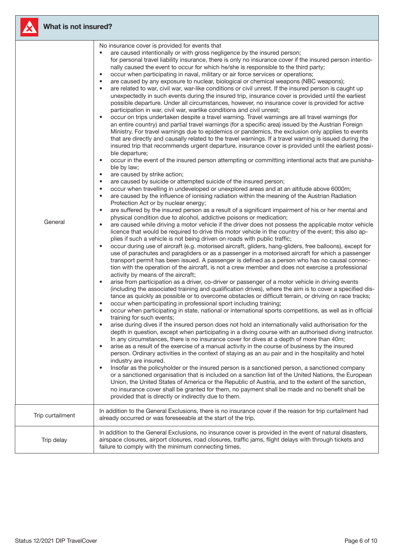

# What is not insured?

| General          | No insurance cover is provided for events that<br>are caused intentionally or with gross negligence by the insured person;<br>$\bullet$<br>for personal travel liability insurance, there is only no insurance cover if the insured person intentio-<br>nally caused the event to occur for which he/she is responsible to the third party;<br>occur when participating in naval, military or air force services or operations;<br>$\bullet$<br>are caused by any exposure to nuclear, biological or chemical weapons (NBC weapons);<br>$\bullet$<br>are related to war, civil war, war-like conditions or civil unrest. If the insured person is caught up<br>$\bullet$<br>unexpectedly in such events during the insured trip, insurance cover is provided until the earliest<br>possible departure. Under all circumstances, however, no insurance cover is provided for active<br>participation in war, civil war, warlike conditions and civil unrest;<br>occur on trips undertaken despite a travel warning. Travel warnings are all travel warnings (for<br>$\bullet$<br>an entire country) and partial travel warnings (for a specific area) issued by the Austrian Foreign<br>Ministry. For travel warnings due to epidemics or pandemics, the exclusion only applies to events<br>that are directly and causally related to the travel warnings. If a travel warning is issued during the<br>insured trip that recommends urgent departure, insurance cover is provided until the earliest possi-<br>ble departure;<br>occur in the event of the insured person attempting or committing intentional acts that are punisha-<br>$\bullet$<br>ble by law;<br>are caused by strike action;<br>$\bullet$<br>are caused by suicide or attempted suicide of the insured person;<br>$\bullet$<br>occur when travelling in undeveloped or unexplored areas and at an altitude above 6000m;<br>٠<br>are caused by the influence of ionising radiation within the meaning of the Austrian Radiation<br>$\bullet$<br>Protection Act or by nuclear energy;<br>are suffered by the insured person as a result of a significant impairment of his or her mental and<br>$\bullet$<br>physical condition due to alcohol, addictive poisons or medication;<br>are caused while driving a motor vehicle if the driver does not possess the applicable motor vehicle<br>$\bullet$<br>licence that would be required to drive this motor vehicle in the country of the event; this also ap-<br>plies if such a vehicle is not being driven on roads with public traffic;<br>occur during use of aircraft (e.g. motorised aircraft, gliders, hang-gliders, free balloons), except for<br>$\bullet$<br>use of parachutes and paragliders or as a passenger in a motorised aircraft for which a passenger<br>transport permit has been issued. A passenger is defined as a person who has no causal connec-<br>tion with the operation of the aircraft, is not a crew member and does not exercise a professional<br>activity by means of the aircraft;<br>arise from participation as a driver, co-driver or passenger of a motor vehicle in driving events<br>$\bullet$<br>(including the associated training and qualification drives), where the aim is to cover a specified dis-<br>tance as quickly as possible or to overcome obstacles or difficult terrain, or driving on race tracks;<br>occur when participating in professional sport including training;<br>$\bullet$<br>occur when participating in state, national or international sports competitions, as well as in official<br>$\bullet$<br>training for such events;<br>arise during dives if the insured person does not hold an internationally valid authorisation for the<br>depth in question, except when participating in a diving course with an authorised diving instructor.<br>In any circumstances, there is no insurance cover for dives at a depth of more than 40m;<br>arise as a result of the exercise of a manual activity in the course of business by the insured<br>$\bullet$<br>person. Ordinary activities in the context of staying as an au pair and in the hospitality and hotel<br>industry are insured.<br>Insofar as the policyholder or the insured person is a sanctioned person, a sanctioned company<br>$\bullet$<br>or a sanctioned organisation that is included on a sanction list of the United Nations, the European<br>Union, the United States of America or the Republic of Austria, and to the extent of the sanction,<br>no insurance cover shall be granted for them, no payment shall be made and no benefit shall be<br>provided that is directly or indirectly due to them.<br>In addition to the General Exclusions, there is no insurance cover if the reason for trip curtailment had |
|------------------|------------------------------------------------------------------------------------------------------------------------------------------------------------------------------------------------------------------------------------------------------------------------------------------------------------------------------------------------------------------------------------------------------------------------------------------------------------------------------------------------------------------------------------------------------------------------------------------------------------------------------------------------------------------------------------------------------------------------------------------------------------------------------------------------------------------------------------------------------------------------------------------------------------------------------------------------------------------------------------------------------------------------------------------------------------------------------------------------------------------------------------------------------------------------------------------------------------------------------------------------------------------------------------------------------------------------------------------------------------------------------------------------------------------------------------------------------------------------------------------------------------------------------------------------------------------------------------------------------------------------------------------------------------------------------------------------------------------------------------------------------------------------------------------------------------------------------------------------------------------------------------------------------------------------------------------------------------------------------------------------------------------------------------------------------------------------------------------------------------------------------------------------------------------------------------------------------------------------------------------------------------------------------------------------------------------------------------------------------------------------------------------------------------------------------------------------------------------------------------------------------------------------------------------------------------------------------------------------------------------------------------------------------------------------------------------------------------------------------------------------------------------------------------------------------------------------------------------------------------------------------------------------------------------------------------------------------------------------------------------------------------------------------------------------------------------------------------------------------------------------------------------------------------------------------------------------------------------------------------------------------------------------------------------------------------------------------------------------------------------------------------------------------------------------------------------------------------------------------------------------------------------------------------------------------------------------------------------------------------------------------------------------------------------------------------------------------------------------------------------------------------------------------------------------------------------------------------------------------------------------------------------------------------------------------------------------------------------------------------------------------------------------------------------------------------------------------------------------------------------------------------------------------------------------------------------------------------------------------------------------------------------------------------------------------------------------------------------------------------------------------------------------------------------------------------------------------------------------------------------------------------------------------------------------------------------------------------------------------------------------------------------------------------------------------------------------------------------------------------------------------------------------------------------------|
| Trip curtailment | already occurred or was foreseeable at the start of the trip.                                                                                                                                                                                                                                                                                                                                                                                                                                                                                                                                                                                                                                                                                                                                                                                                                                                                                                                                                                                                                                                                                                                                                                                                                                                                                                                                                                                                                                                                                                                                                                                                                                                                                                                                                                                                                                                                                                                                                                                                                                                                                                                                                                                                                                                                                                                                                                                                                                                                                                                                                                                                                                                                                                                                                                                                                                                                                                                                                                                                                                                                                                                                                                                                                                                                                                                                                                                                                                                                                                                                                                                                                                                                                                                                                                                                                                                                                                                                                                                                                                                                                                                                                                                                                                                                                                                                                                                                                                                                                                                                                                                                                                                                                                                                  |
| Trip delay       | In addition to the General Exclusions, no insurance cover is provided in the event of natural disasters,<br>airspace closures, airport closures, road closures, traffic jams, flight delays with through tickets and<br>failure to comply with the minimum connecting times.                                                                                                                                                                                                                                                                                                                                                                                                                                                                                                                                                                                                                                                                                                                                                                                                                                                                                                                                                                                                                                                                                                                                                                                                                                                                                                                                                                                                                                                                                                                                                                                                                                                                                                                                                                                                                                                                                                                                                                                                                                                                                                                                                                                                                                                                                                                                                                                                                                                                                                                                                                                                                                                                                                                                                                                                                                                                                                                                                                                                                                                                                                                                                                                                                                                                                                                                                                                                                                                                                                                                                                                                                                                                                                                                                                                                                                                                                                                                                                                                                                                                                                                                                                                                                                                                                                                                                                                                                                                                                                                   |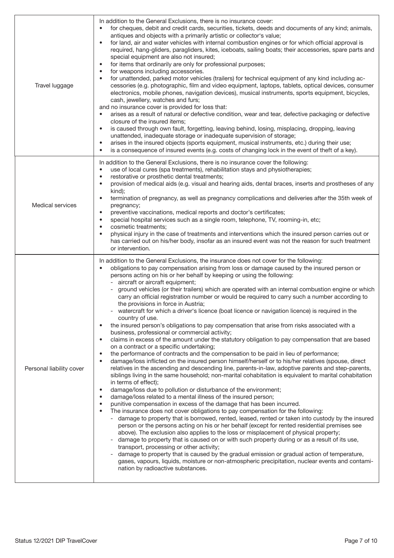| Travel luggage           | In addition to the General Exclusions, there is no insurance cover:<br>for cheques, debit and credit cards, securities, tickets, deeds and documents of any kind; animals,<br>antiques and objects with a primarily artistic or collector's value;<br>for land, air and water vehicles with internal combustion engines or for which official approval is<br>$\bullet$<br>required, hang-gliders, paragliders, kites, iceboats, sailing boats; their accessories, spare parts and<br>special equipment are also not insured;<br>for items that ordinarily are only for professional purposes;<br>$\bullet$<br>for weapons including accessories.<br>$\bullet$<br>for unattended, parked motor vehicles (trailers) for technical equipment of any kind including ac-<br>$\bullet$<br>cessories (e.g. photographic, film and video equipment, laptops, tablets, optical devices, consumer<br>electronics, mobile phones, navigation devices), musical instruments, sports equipment, bicycles,<br>cash, jewellery, watches and furs;<br>and no insurance cover is provided for loss that:<br>arises as a result of natural or defective condition, wear and tear, defective packaging or defective<br>$\bullet$<br>closure of the insured items;<br>is caused through own fault, forgetting, leaving behind, losing, misplacing, dropping, leaving<br>$\bullet$<br>unattended, inadequate storage or inadequate supervision of storage;<br>arises in the insured objects (sports equipment, musical instruments, etc.) during their use;<br>$\bullet$<br>is a consequence of insured events (e.g. costs of changing lock in the event of theft of a key).<br>$\bullet$                                                                                                                                                                                                                                                                                                                                                                                                                                                                                                                                                                                                                                                                                                                                                                                                                                       |
|--------------------------|------------------------------------------------------------------------------------------------------------------------------------------------------------------------------------------------------------------------------------------------------------------------------------------------------------------------------------------------------------------------------------------------------------------------------------------------------------------------------------------------------------------------------------------------------------------------------------------------------------------------------------------------------------------------------------------------------------------------------------------------------------------------------------------------------------------------------------------------------------------------------------------------------------------------------------------------------------------------------------------------------------------------------------------------------------------------------------------------------------------------------------------------------------------------------------------------------------------------------------------------------------------------------------------------------------------------------------------------------------------------------------------------------------------------------------------------------------------------------------------------------------------------------------------------------------------------------------------------------------------------------------------------------------------------------------------------------------------------------------------------------------------------------------------------------------------------------------------------------------------------------------------------------------------------------------------------------------------------------------------------------------------------------------------------------------------------------------------------------------------------------------------------------------------------------------------------------------------------------------------------------------------------------------------------------------------------------------------------------------------------------------------------------------------------------------------------------------------------------------------------------------|
| <b>Medical services</b>  | In addition to the General Exclusions, there is no insurance cover the following:<br>use of local cures (spa treatments), rehabilitation stays and physiotherapies;<br>$\bullet$<br>restorative or prosthetic dental treatments;<br>$\bullet$<br>provision of medical aids (e.g. visual and hearing aids, dental braces, inserts and prostheses of any<br>$\bullet$<br>kind);<br>termination of pregnancy, as well as pregnancy complications and deliveries after the 35th week of<br>$\bullet$<br>pregnancy;<br>preventive vaccinations, medical reports and doctor's certificates;<br>$\bullet$<br>special hospital services such as a single room, telephone, TV, rooming-in, etc;<br>$\bullet$<br>cosmetic treatments;<br>$\bullet$<br>physical injury in the case of treatments and interventions which the insured person carries out or<br>$\bullet$<br>has carried out on his/her body, insofar as an insured event was not the reason for such treatment<br>or intervention.                                                                                                                                                                                                                                                                                                                                                                                                                                                                                                                                                                                                                                                                                                                                                                                                                                                                                                                                                                                                                                                                                                                                                                                                                                                                                                                                                                                                                                                                                                                     |
| Personal liability cover | In addition to the General Exclusions, the insurance does not cover for the following:<br>obligations to pay compensation arising from loss or damage caused by the insured person or<br>persons acting on his or her behalf by keeping or using the following:<br>aircraft or aircraft equipment;<br>ground vehicles (or their trailers) which are operated with an internal combustion engine or which<br>carry an official registration number or would be required to carry such a number according to<br>the provisions in force in Austria;<br>watercraft for which a driver's licence (boat licence or navigation licence) is required in the<br>country of use.<br>the insured person's obligations to pay compensation that arise from risks associated with a<br>$\bullet$<br>business, professional or commercial activity;<br>claims in excess of the amount under the statutory obligation to pay compensation that are based<br>$\bullet$<br>on a contract or a specific undertaking;<br>the performance of contracts and the compensation to be paid in lieu of performance;<br>$\bullet$<br>damage/loss inflicted on the insured person himself/herself or to his/her relatives (spouse, direct<br>$\bullet$<br>relatives in the ascending and descending line, parents-in-law, adoptive parents and step-parents,<br>siblings living in the same household; non-marital cohabitation is equivalent to marital cohabitation<br>in terms of effect);<br>damage/loss due to pollution or disturbance of the environment;<br>$\bullet$<br>damage/loss related to a mental illness of the insured person;<br>$\bullet$<br>punitive compensation in excess of the damage that has been incurred.<br>$\bullet$<br>The insurance does not cover obligations to pay compensation for the following:<br>$\bullet$<br>- damage to property that is borrowed, rented, leased, rented or taken into custody by the insured<br>person or the persons acting on his or her behalf (except for rented residential premises see<br>above). The exclusion also applies to the loss or misplacement of physical property;<br>damage to property that is caused on or with such property during or as a result of its use,<br>transport, processing or other activity;<br>damage to property that is caused by the gradual emission or gradual action of temperature,<br>gases, vapours, liquids, moisture or non-atmospheric precipitation, nuclear events and contami-<br>nation by radioactive substances. |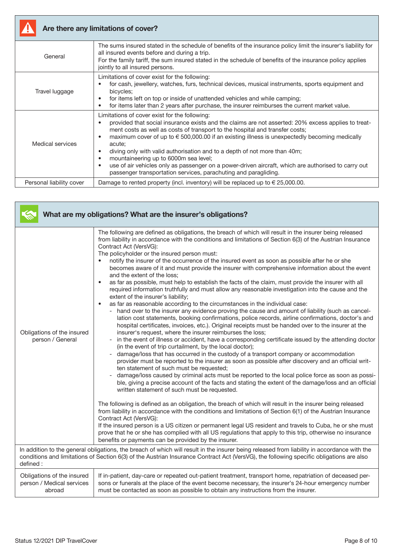

# Are there any limitations of cover?

| General                  | The sums insured stated in the schedule of benefits of the insurance policy limit the insurer's liability for<br>all insured events before and during a trip.<br>For the family tariff, the sum insured stated in the schedule of benefits of the insurance policy applies<br>jointly to all insured persons.                                                                                                                                                                                                                                                                                                                                                                                                |
|--------------------------|--------------------------------------------------------------------------------------------------------------------------------------------------------------------------------------------------------------------------------------------------------------------------------------------------------------------------------------------------------------------------------------------------------------------------------------------------------------------------------------------------------------------------------------------------------------------------------------------------------------------------------------------------------------------------------------------------------------|
| Travel luggage           | Limitations of cover exist for the following:<br>for cash, jewellery, watches, furs, technical devices, musical instruments, sports equipment and<br>bicycles;<br>for items left on top or inside of unattended vehicles and while camping;<br>$\bullet$<br>for items later than 2 years after purchase, the insurer reimburses the current market value.<br>$\bullet$                                                                                                                                                                                                                                                                                                                                       |
| Medical services         | Limitations of cover exist for the following:<br>provided that social insurance exists and the claims are not asserted: 20% excess applies to treat-<br>ment costs as well as costs of transport to the hospital and transfer costs;<br>maximum cover of up to $\epsilon$ 500,000.00 if an existing illness is unexpectedly becoming medically<br>$\bullet$<br>acute;<br>diving only with valid authorisation and to a depth of not more than 40m;<br>$\bullet$<br>mountaineering up to 6000m sea level;<br>$\bullet$<br>use of air vehicles only as passenger on a power-driven aircraft, which are authorised to carry out<br>$\bullet$<br>passenger transportation services, parachuting and paragliding. |
| Personal liability cover | Damage to rented property (incl. inventory) will be replaced up to $\in$ 25,000.00.                                                                                                                                                                                                                                                                                                                                                                                                                                                                                                                                                                                                                          |

|                                                                   | What are my obligations? What are the insurer's obligations?                                                                                                                                                                                                                                                                                                                                                                                                                                                                                                                                                                                                                                                                                                                                                                                                                                                                                                                                                                                                                                                                                                                                                                                                                                                                                                                                                                                                                                                                                                                                                                                                                                                                                                                                                                                                                                                                                                                                                                                                                                                                                                                                                                                                                                                                                                                                                                                                                                                |
|-------------------------------------------------------------------|-------------------------------------------------------------------------------------------------------------------------------------------------------------------------------------------------------------------------------------------------------------------------------------------------------------------------------------------------------------------------------------------------------------------------------------------------------------------------------------------------------------------------------------------------------------------------------------------------------------------------------------------------------------------------------------------------------------------------------------------------------------------------------------------------------------------------------------------------------------------------------------------------------------------------------------------------------------------------------------------------------------------------------------------------------------------------------------------------------------------------------------------------------------------------------------------------------------------------------------------------------------------------------------------------------------------------------------------------------------------------------------------------------------------------------------------------------------------------------------------------------------------------------------------------------------------------------------------------------------------------------------------------------------------------------------------------------------------------------------------------------------------------------------------------------------------------------------------------------------------------------------------------------------------------------------------------------------------------------------------------------------------------------------------------------------------------------------------------------------------------------------------------------------------------------------------------------------------------------------------------------------------------------------------------------------------------------------------------------------------------------------------------------------------------------------------------------------------------------------------------------------|
| Obligations of the insured<br>person / General                    | The following are defined as obligations, the breach of which will result in the insurer being released<br>from liability in accordance with the conditions and limitations of Section 6(3) of the Austrian Insurance<br>Contract Act (VersVG):<br>The policyholder or the insured person must:<br>notify the insurer of the occurrence of the insured event as soon as possible after he or she<br>$\bullet$<br>becomes aware of it and must provide the insurer with comprehensive information about the event<br>and the extent of the loss;<br>as far as possible, must help to establish the facts of the claim, must provide the insurer with all<br>$\bullet$<br>required information truthfully and must allow any reasonable investigation into the cause and the<br>extent of the insurer's liability;<br>as far as reasonable according to the circumstances in the individual case:<br>$\bullet$<br>hand over to the insurer any evidence proving the cause and amount of liability (such as cancel-<br>lation cost statements, booking confirmations, police records, airline confirmations, doctor's and<br>hospital certificates, invoices, etc.). Original receipts must be handed over to the insurer at the<br>insurer's request, where the insurer reimburses the loss;<br>in the event of illness or accident, have a corresponding certificate issued by the attending doctor<br>(in the event of trip curtailment, by the local doctor);<br>damage/loss that has occurred in the custody of a transport company or accommodation<br>provider must be reported to the insurer as soon as possible after discovery and an official writ-<br>ten statement of such must be requested;<br>damage/loss caused by criminal acts must be reported to the local police force as soon as possi-<br>ble, giving a precise account of the facts and stating the extent of the damage/loss and an official<br>written statement of such must be requested.<br>The following is defined as an obligation, the breach of which will result in the insurer being released<br>from liability in accordance with the conditions and limitations of Section $6(1)$ of the Austrian Insurance<br>Contract Act (VersVG):<br>If the insured person is a US citizen or permanent legal US resident and travels to Cuba, he or she must<br>prove that he or she has complied with all US regulations that apply to this trip, otherwise no insurance<br>benefits or payments can be provided by the insurer. |
| defined:                                                          | In addition to the general obligations, the breach of which will result in the insurer being released from liability in accordance with the<br>conditions and limitations of Section 6(3) of the Austrian Insurance Contract Act (VersVG), the following specific obligations are also                                                                                                                                                                                                                                                                                                                                                                                                                                                                                                                                                                                                                                                                                                                                                                                                                                                                                                                                                                                                                                                                                                                                                                                                                                                                                                                                                                                                                                                                                                                                                                                                                                                                                                                                                                                                                                                                                                                                                                                                                                                                                                                                                                                                                      |
| Obligations of the insured<br>person / Medical services<br>abroad | If in-patient, day-care or repeated out-patient treatment, transport home, repatriation of deceased per-<br>sons or funerals at the place of the event become necessary, the insurer's 24-hour emergency number<br>must be contacted as soon as possible to obtain any instructions from the insurer.                                                                                                                                                                                                                                                                                                                                                                                                                                                                                                                                                                                                                                                                                                                                                                                                                                                                                                                                                                                                                                                                                                                                                                                                                                                                                                                                                                                                                                                                                                                                                                                                                                                                                                                                                                                                                                                                                                                                                                                                                                                                                                                                                                                                       |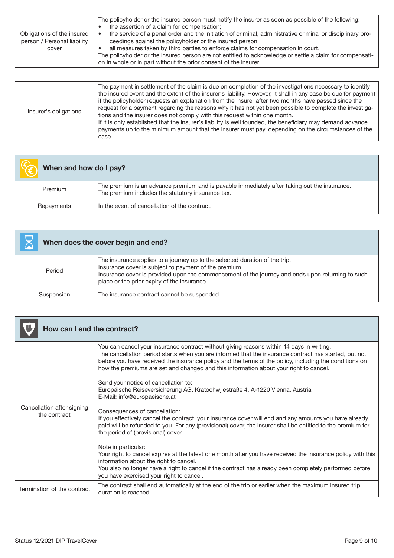|                                                           | The policyholder or the insured person must notify the insurer as soon as possible of the following:<br>the assertion of a claim for compensation;                           |
|-----------------------------------------------------------|------------------------------------------------------------------------------------------------------------------------------------------------------------------------------|
| Obligations of the insured<br>person / Personal liability | the service of a penal order and the initiation of criminal, administrative criminal or disciplinary pro-<br>ceedings against the policyholder or the insured person;        |
| cover                                                     | all measures taken by third parties to enforce claims for compensation in court.                                                                                             |
|                                                           | The policyholder or the insured person are not entitled to acknowledge or settle a claim for compensati-<br>on in whole or in part without the prior consent of the insurer. |
|                                                           |                                                                                                                                                                              |

| Insurer's obligations | The payment in settlement of the claim is due on completion of the investigations necessary to identify<br>the insured event and the extent of the insurer's liability. However, it shall in any case be due for payment<br>if the policyholder requests an explanation from the insurer after two months have passed since the<br>request for a payment regarding the reasons why it has not yet been possible to complete the investiga-<br>tions and the insurer does not comply with this request within one month.<br>If it is only established that the insurer's liability is well founded, the beneficiary may demand advance<br>payments up to the minimum amount that the insurer must pay, depending on the circumstances of the<br>case. |
|-----------------------|------------------------------------------------------------------------------------------------------------------------------------------------------------------------------------------------------------------------------------------------------------------------------------------------------------------------------------------------------------------------------------------------------------------------------------------------------------------------------------------------------------------------------------------------------------------------------------------------------------------------------------------------------------------------------------------------------------------------------------------------------|
|-----------------------|------------------------------------------------------------------------------------------------------------------------------------------------------------------------------------------------------------------------------------------------------------------------------------------------------------------------------------------------------------------------------------------------------------------------------------------------------------------------------------------------------------------------------------------------------------------------------------------------------------------------------------------------------------------------------------------------------------------------------------------------------|

| When and how do I pay? |                                                                                                                                                   |
|------------------------|---------------------------------------------------------------------------------------------------------------------------------------------------|
| Premium                | The premium is an advance premium and is payable immediately after taking out the insurance.<br>The premium includes the statutory insurance tax. |
| Repayments             | In the event of cancellation of the contract.                                                                                                     |

| When does the cover begin and end? |                                                                                                                                                                                                                                                                                         |
|------------------------------------|-----------------------------------------------------------------------------------------------------------------------------------------------------------------------------------------------------------------------------------------------------------------------------------------|
| Period                             | The insurance applies to a journey up to the selected duration of the trip.<br>Insurance cover is subject to payment of the premium.<br>Insurance cover is provided upon the commencement of the journey and ends upon returning to such<br>place or the prior expiry of the insurance. |
| Suspension                         | The insurance contract cannot be suspended.                                                                                                                                                                                                                                             |

| How can I end the contract?                |                                                                                                                                                                                                                                                                                                                                                                                                      |
|--------------------------------------------|------------------------------------------------------------------------------------------------------------------------------------------------------------------------------------------------------------------------------------------------------------------------------------------------------------------------------------------------------------------------------------------------------|
| Cancellation after signing<br>the contract | You can cancel your insurance contract without giving reasons within 14 days in writing.<br>The cancellation period starts when you are informed that the insurance contract has started, but not<br>before you have received the insurance policy and the terms of the policy, including the conditions on<br>how the premiums are set and changed and this information about your right to cancel. |
|                                            | Send your notice of cancellation to:<br>Europäische Reiseversicherung AG, Kratochwjlestraße 4, A-1220 Vienna, Austria<br>E-Mail: info@europaeische.at                                                                                                                                                                                                                                                |
|                                            | Consequences of cancellation:<br>If you effectively cancel the contract, your insurance cover will end and any amounts you have already<br>paid will be refunded to you. For any (provisional) cover, the insurer shall be entitled to the premium for<br>the period of (provisional) cover.                                                                                                         |
|                                            | Note in particular:                                                                                                                                                                                                                                                                                                                                                                                  |
|                                            | Your right to cancel expires at the latest one month after you have received the insurance policy with this<br>information about the right to cancel.                                                                                                                                                                                                                                                |
|                                            | You also no longer have a right to cancel if the contract has already been completely performed before<br>you have exercised your right to cancel.                                                                                                                                                                                                                                                   |
| Termination of the contract                | The contract shall end automatically at the end of the trip or earlier when the maximum insured trip<br>duration is reached.                                                                                                                                                                                                                                                                         |